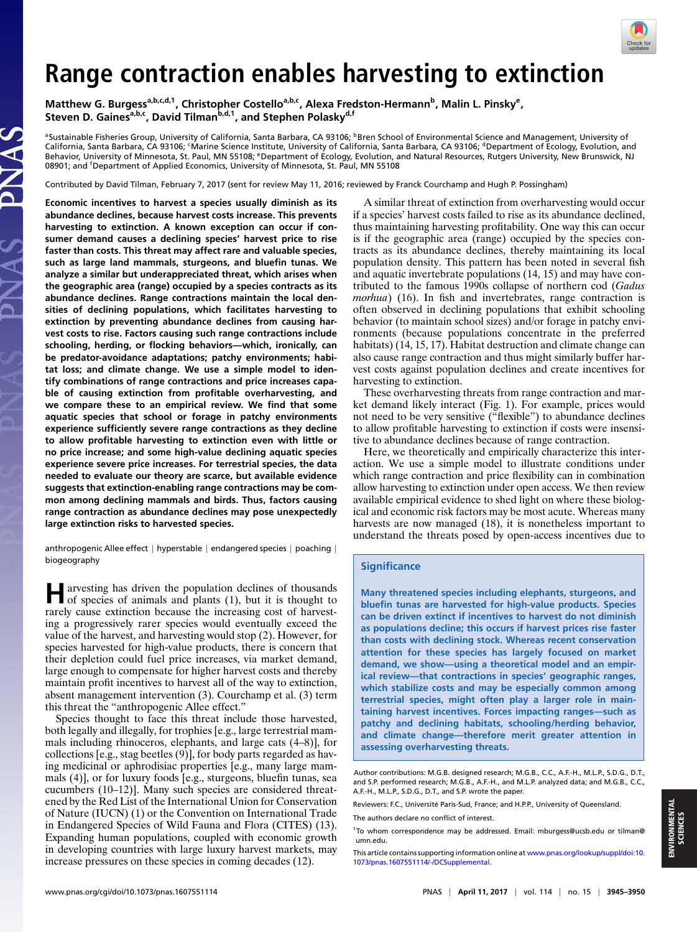

# **Range contraction enables harvesting to extinction**

**Matthew G. Burgessa,b,c,d,1, Christopher Costelloa,b,c, Alexa Fredston-Hermann<sup>b</sup> , Malin L. Pinsky<sup>e</sup> , Steven D. Gainesa,b,c, David Tilmanb,d,1, and Stephen Polaskyd,f**

aSustainable Fisheries Group, University of California, Santa Barbara, CA 93106; <sup>b</sup>Bren School of Environmental Science and Management, University of California, Santa Barbara, CA 93106; <sup>c</sup>Marine Science Institute, University of California, Santa Barbara, CA 93106; <sup>d</sup>Department of Ecology, Evolution, and Behavior, University of Minnesota, St. Paul, MN 55108; <sup>e</sup>Department of Ecology, Evolution, and Natural Resources, Rutgers University, New Brunswick, NJ 08901; and <sup>f</sup>Department of Applied Economics, University of Minnesota, St. Paul, MN 55108

Contributed by David Tilman, February 7, 2017 (sent for review May 11, 2016; reviewed by Franck Courchamp and Hugh P. Possingham)

**Economic incentives to harvest a species usually diminish as its abundance declines, because harvest costs increase. This prevents harvesting to extinction. A known exception can occur if consumer demand causes a declining species' harvest price to rise faster than costs. This threat may affect rare and valuable species, such as large land mammals, sturgeons, and bluefin tunas. We analyze a similar but underappreciated threat, which arises when the geographic area (range) occupied by a species contracts as its abundance declines. Range contractions maintain the local densities of declining populations, which facilitates harvesting to extinction by preventing abundance declines from causing harvest costs to rise. Factors causing such range contractions include schooling, herding, or flocking behaviors—which, ironically, can be predator-avoidance adaptations; patchy environments; habitat loss; and climate change. We use a simple model to identify combinations of range contractions and price increases capable of causing extinction from profitable overharvesting, and we compare these to an empirical review. We find that some aquatic species that school or forage in patchy environments experience sufficiently severe range contractions as they decline to allow profitable harvesting to extinction even with little or no price increase; and some high-value declining aquatic species experience severe price increases. For terrestrial species, the data needed to evaluate our theory are scarce, but available evidence suggests that extinction-enabling range contractions may be common among declining mammals and birds. Thus, factors causing range contraction as abundance declines may pose unexpectedly large extinction risks to harvested species.**

anthropogenic Allee effect | hyperstable | endangered species | poaching | biogeography

**H** arvesting has driven the population declines of thousands of species of animals and plants (1), but it is thought to arvesting has driven the population declines of thousands rarely cause extinction because the increasing cost of harvesting a progressively rarer species would eventually exceed the value of the harvest, and harvesting would stop (2). However, for species harvested for high-value products, there is concern that their depletion could fuel price increases, via market demand, large enough to compensate for higher harvest costs and thereby maintain profit incentives to harvest all of the way to extinction, absent management intervention (3). Courchamp et al. (3) term this threat the "anthropogenic Allee effect."

Species thought to face this threat include those harvested, both legally and illegally, for trophies [e.g., large terrestrial mammals including rhinoceros, elephants, and large cats (4–8)], for collections [e.g., stag beetles (9)], for body parts regarded as having medicinal or aphrodisiac properties [e.g., many large mammals (4)], or for luxury foods [e.g., sturgeons, bluefin tunas, sea cucumbers (10–12)]. Many such species are considered threatened by the Red List of the International Union for Conservation of Nature (IUCN) (1) or the Convention on International Trade in Endangered Species of Wild Fauna and Flora (CITES) (13). Expanding human populations, coupled with economic growth in developing countries with large luxury harvest markets, may increase pressures on these species in coming decades (12).

A similar threat of extinction from overharvesting would occur if a species' harvest costs failed to rise as its abundance declined, thus maintaining harvesting profitability. One way this can occur is if the geographic area (range) occupied by the species contracts as its abundance declines, thereby maintaining its local population density. This pattern has been noted in several fish and aquatic invertebrate populations (14, 15) and may have contributed to the famous 1990s collapse of northern cod (*Gadus morhua*) (16). In fish and invertebrates, range contraction is often observed in declining populations that exhibit schooling behavior (to maintain school sizes) and/or forage in patchy environments (because populations concentrate in the preferred habitats) (14, 15, 17). Habitat destruction and climate change can also cause range contraction and thus might similarly buffer harvest costs against population declines and create incentives for harvesting to extinction.

These overharvesting threats from range contraction and market demand likely interact (Fig. 1). For example, prices would not need to be very sensitive ("flexible") to abundance declines to allow profitable harvesting to extinction if costs were insensitive to abundance declines because of range contraction.

Here, we theoretically and empirically characterize this interaction. We use a simple model to illustrate conditions under which range contraction and price flexibility can in combination allow harvesting to extinction under open access. We then review available empirical evidence to shed light on where these biological and economic risk factors may be most acute. Whereas many harvests are now managed (18), it is nonetheless important to understand the threats posed by open-access incentives due to

## **Significance**

**Many threatened species including elephants, sturgeons, and bluefin tunas are harvested for high-value products. Species can be driven extinct if incentives to harvest do not diminish as populations decline; this occurs if harvest prices rise faster than costs with declining stock. Whereas recent conservation attention for these species has largely focused on market demand, we show—using a theoretical model and an empirical review—that contractions in species' geographic ranges, which stabilize costs and may be especially common among terrestrial species, might often play a larger role in maintaining harvest incentives. Forces impacting ranges—such as patchy and declining habitats, schooling/herding behavior, and climate change—therefore merit greater attention in assessing overharvesting threats.**

Author contributions: M.G.B. designed research; M.G.B., C.C., A.F.-H., M.L.P., S.D.G., D.T., and S.P. performed research; M.G.B., A.F.-H., and M.L.P. analyzed data; and M.G.B., C.C., A.F.-H., M.L.P., S.D.G., D.T., and S.P. wrote the paper.

Reviewers: F.C., Université Paris-Sud, France; and H.P.P., University of Queensland.

The authors declare no conflict of interest.

<sup>1</sup> To whom correspondence may be addressed. Email: [mburgess@ucsb.edu](mailto:mburgess@ucsb.edu) or [tilman@](mailto:tilman@umn.edu) [umn.edu.](mailto:tilman@umn.edu)

This article contains supporting information online at [www.pnas.org/lookup/suppl/doi:10.](http://www.pnas.org/lookup/suppl/doi:10.1073/pnas.1607551114/-/DCSupplemental) [1073/pnas.1607551114/-/DCSupplemental.](http://www.pnas.org/lookup/suppl/doi:10.1073/pnas.1607551114/-/DCSupplemental)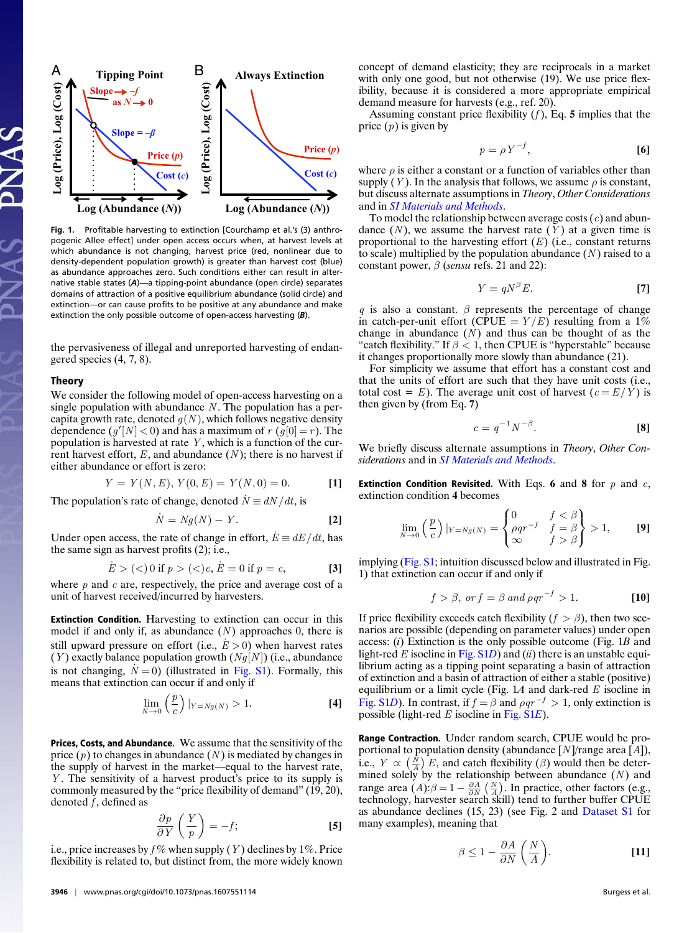

**Fig. 1.** Profitable harvesting to extinction [Courchamp et al.'s (3) anthropogenic Allee effect] under open access occurs when, at harvest levels at which abundance is not changing, harvest price (red, nonlinear due to density-dependent population growth) is greater than harvest cost (blue) as abundance approaches zero. Such conditions either can result in alternative stable states (*A*)—a tipping-point abundance (open circle) separates domains of attraction of a positive equilibrium abundance (solid circle) and extinction—or can cause profits to be positive at any abundance and make extinction the only possible outcome of open-access harvesting (*B*).

the pervasiveness of illegal and unreported harvesting of endangered species (4, 7, 8).

## Theory

We consider the following model of open-access harvesting on a single population with abundance  $N$ . The population has a percapita growth rate, denoted  $g(N)$ , which follows negative density dependence  $(g'[N] < 0)$  and has a maximum of  $r(g[0] = r)$ . The population is harvested at rate  $Y$ , which is a function of the current harvest effort,  $E$ , and abundance  $(N)$ ; there is no harvest if either abundance or effort is zero:

$$
Y = Y(N, E), Y(0, E) = Y(N, 0) = 0.
$$
 [1]

The population's rate of change, denoted  $\dot{N} \equiv dN/dt$ , is

$$
\dot{N} = Ng(N) - Y.
$$
 [2]

Under open access, the rate of change in effort,  $\dot{E} \equiv dE/dt$ , has the same sign as harvest profits (2); i.e.,

$$
\dot{E} > (<0 \text{ if } p > (<)c, \dot{E} = 0 \text{ if } p = c,
$$
 [3]

where  $p$  and  $c$  are, respectively, the price and average cost of a unit of harvest received/incurred by harvesters.

Extinction Condition. Harvesting to extinction can occur in this model if and only if, as abundance  $(N)$  approaches 0, there is still upward pressure on effort (i.e.,  $\dot{E} > 0$ ) when harvest rates (Y) exactly balance population growth  $(Ng[N])$  (i.e., abundance is not changing,  $N = 0$ ) (illustrated in [Fig. S1\)](http://www.pnas.org/lookup/suppl/doi:10.1073/pnas.1607551114/-/DCSupplemental/pnas.201607551SI.pdf?targetid=nameddest=SF1). Formally, this means that extinction can occur if and only if

$$
\lim_{N \to 0} \left(\frac{p}{c}\right)|_{Y = Ng(N)} > 1.
$$
 [4]

Prices, Costs, and Abundance. We assume that the sensitivity of the price  $(p)$  to changes in abundance  $(N)$  is mediated by changes in the supply of harvest in the market—equal to the harvest rate, Y. The sensitivity of a harvest product's price to its supply is commonly measured by the "price flexibility of demand" (19, 20), denoted  $\hat{f}$ , defined as

$$
\frac{\partial p}{\partial Y} \left( \frac{Y}{p} \right) = -f; \tag{5}
$$

i.e., price increases by  $f\%$  when supply (Y) declines by 1%. Price flexibility is related to, but distinct from, the more widely known concept of demand elasticity; they are reciprocals in a market with only one good, but not otherwise (19). We use price flexibility, because it is considered a more appropriate empirical demand measure for harvests (e.g., ref. 20).

Assuming constant price flexibility  $(f)$ , Eq. 5 implies that the price  $(p)$  is given by

$$
p = \rho Y^{-f}, \tag{6}
$$

where  $\rho$  is either a constant or a function of variables other than supply  $(Y)$ . In the analysis that follows, we assume  $\rho$  is constant, but discuss alternate assumptions in *Theory*, *Other Considerations* and in *[SI Materials and Methods](http://www.pnas.org/lookup/suppl/doi:10.1073/pnas.1607551114/-/DCSupplemental/pnas.201607551SI.pdf?targetid=nameddest=STXT)*.

To model the relationship between average costs  $(c)$  and abundance  $(N)$ , we assume the harvest rate  $(Y)$  at a given time is proportional to the harvesting effort  $(E)$  (i.e., constant returns to scale) multiplied by the population abundance  $(N)$  raised to a constant power, β (*sensu* refs. 21 and 22):

$$
Y = qN^{\beta}E.
$$
 [7]

q is also a constant.  $\beta$  represents the percentage of change in catch-per-unit effort (CPUE =  $Y/E$ ) resulting from a 1% change in abundance  $(N)$  and thus can be thought of as the "catch flexibility." If  $\beta$  < 1, then CPUE is "hyperstable" because it changes proportionally more slowly than abundance (21).

For simplicity we assume that effort has a constant cost and that the units of effort are such that they have unit costs (i.e., total cost = E). The average unit cost of harvest  $(c = E/Y)$  is then given by (from Eq. **7**)

$$
c = q^{-1} N^{-\beta}.
$$
 [8]

We briefly discuss alternate assumptions in *Theory*, *Other Considerations* and in *[SI Materials and Methods](http://www.pnas.org/lookup/suppl/doi:10.1073/pnas.1607551114/-/DCSupplemental/pnas.201607551SI.pdf?targetid=nameddest=STXT)*.

**Extinction Condition Revisited.** With Eqs. 6 and 8 for  $p$  and  $c$ , extinction condition **4** becomes

$$
\lim_{N \to 0} \left(\frac{p}{c}\right)|_{Y = Ng(N)} = \begin{cases} 0 & f < \beta \\ \rho q r^{-f} & f = \beta \\ \infty & f > \beta \end{cases} > 1, \quad [9]
$$

implying [\(Fig. S1;](http://www.pnas.org/lookup/suppl/doi:10.1073/pnas.1607551114/-/DCSupplemental/pnas.201607551SI.pdf?targetid=nameddest=SF1) intuition discussed below and illustrated in Fig. 1) that extinction can occur if and only if

$$
f > \beta, \text{ or } f = \beta \text{ and } \rho q r^{-f} > 1. \tag{10}
$$

If price flexibility exceeds catch flexibility  $(f > \beta)$ , then two scenarios are possible (depending on parameter values) under open access: (*i*) Extinction is the only possible outcome (Fig. 1*B* and light-red E isocline in [Fig. S1](http://www.pnas.org/lookup/suppl/doi:10.1073/pnas.1607551114/-/DCSupplemental/pnas.201607551SI.pdf?targetid=nameddest=SF1)*D*) and (*ii*) there is an unstable equilibrium acting as a tipping point separating a basin of attraction of extinction and a basin of attraction of either a stable (positive) equilibrium or a limit cycle (Fig. 1*A* and dark-red E isocline in [Fig. S1](http://www.pnas.org/lookup/suppl/doi:10.1073/pnas.1607551114/-/DCSupplemental/pnas.201607551SI.pdf?targetid=nameddest=SF1)*D*). In contrast, if  $f = \beta$  and  $\rho qr^{-f} > 1$ , only extinction is possible (light-red E isocline in [Fig. S1](http://www.pnas.org/lookup/suppl/doi:10.1073/pnas.1607551114/-/DCSupplemental/pnas.201607551SI.pdf?targetid=nameddest=SF1)*E*).

Range Contraction. Under random search, CPUE would be proportional to population density (abundance  $[N]/range$  area  $[A]$ ), i.e.,  $Y \propto \left(\frac{\tilde{N}}{A}\right)E$ , and catch flexibility ( $\beta$ ) would then be determined solely by the relationship between abundance  $(N)$  and range area  $(A):\beta=1-\frac{\partial A}{\partial N}\left(\frac{N}{A}\right)$ . In practice, other factors (e.g., technology, harvester search skill) tend to further buffer CPUE as abundance declines (15, 23) (see Fig. 2 and [Dataset S1](http://www.pnas.org/lookup/suppl/doi:10.1073/pnas.1607551114/-/DCSupplemental/pnas.1607551114.sd01.xlsx) for many examples), meaning that

$$
\beta \le 1 - \frac{\partial A}{\partial N} \left( \frac{N}{A} \right). \tag{11}
$$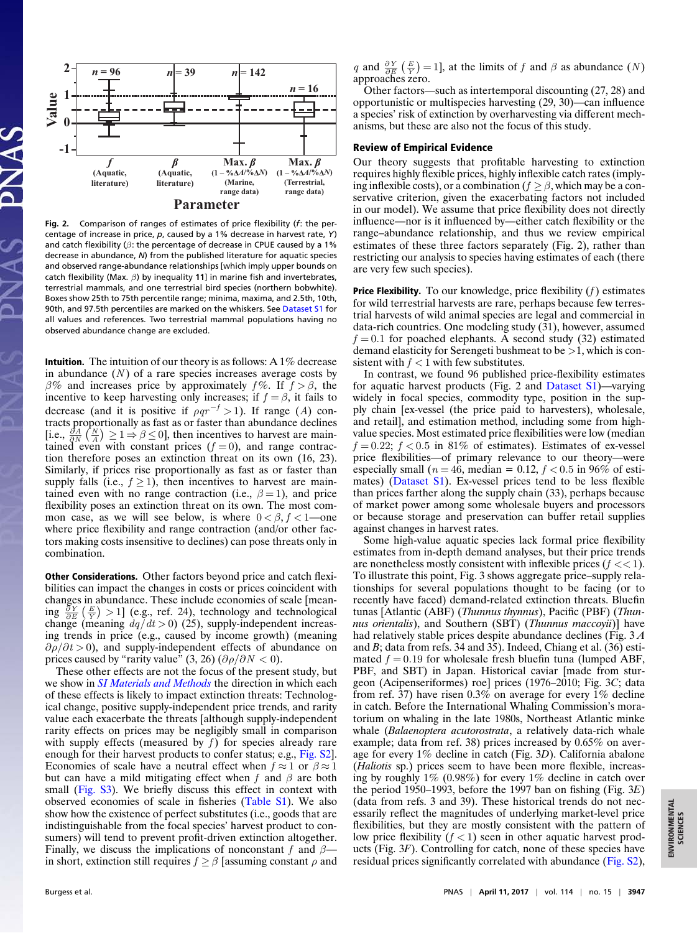

**Fig. 2.** Comparison of ranges of estimates of price flexibility (*f*: the percentage of increase in price, *p*, caused by a 1% decrease in harvest rate, *Y*) and catch flexibility ( $\beta$ : the percentage of decrease in CPUE caused by a 1% decrease in abundance, *N*) from the published literature for aquatic species and observed range-abundance relationships [which imply upper bounds on catch flexibility (Max. β) by inequality **11**] in marine fish and invertebrates, terrestrial mammals, and one terrestrial bird species (northern bobwhite). Boxes show 25th to 75th percentile range; minima, maxima, and 2.5th, 10th, 90th, and 97.5th percentiles are marked on the whiskers. See [Dataset S1](http://www.pnas.org/lookup/suppl/doi:10.1073/pnas.1607551114/-/DCSupplemental/pnas.1607551114.sd01.xlsx) for all values and references. Two terrestrial mammal populations having no observed abundance change are excluded.

**Intuition.** The intuition of our theory is as follows: A  $1\%$  decrease in abundance  $(N)$  of a rare species increases average costs by β% and increases price by approximately  $f$ %. If  $f > β$ , the incentive to keep harvesting only increases; if  $f = \beta$ , it fails to decrease (and it is positive if  $\rho q r^{-f} > 1$ ). If range (A) contracts proportionally as fast as or faster than abundance declines [i.e.,  $\frac{\partial A}{\partial N} \left( \frac{N}{A} \right) \ge 1 \Rightarrow \beta \le 0$ ], then incentives to harvest are maintained even with constant prices  $(f = 0)$ , and range contraction therefore poses an extinction threat on its own (16, 23). Similarly, if prices rise proportionally as fast as or faster than supply falls (i.e.,  $f \ge 1$ ), then incentives to harvest are maintained even with no range contraction (i.e.,  $\beta = 1$ ), and price flexibility poses an extinction threat on its own. The most common case, as we will see below, is where  $0 < \beta, f < 1$ —one where price flexibility and range contraction (and/or other factors making costs insensitive to declines) can pose threats only in combination.

Other Considerations. Other factors beyond price and catch flexibilities can impact the changes in costs or prices coincident with changes in abundance. These include economies of scale [meaning  $\frac{\partial Y}{\partial E} \left( \frac{E}{Y} \right) > 1$ ] (e.g., ref. 24), technology and technological change (meaning  $dq/dt > 0$ ) (25), supply-independent increasing trends in price (e.g., caused by income growth) (meaning  $\partial \rho / \partial t > 0$ ), and supply-independent effects of abundance on prices caused by "rarity value" (3, 26) ( $\partial \rho / \partial N < 0$ ).

These other effects are not the focus of the present study, but we show in *[SI Materials and Methods](http://www.pnas.org/lookup/suppl/doi:10.1073/pnas.1607551114/-/DCSupplemental/pnas.201607551SI.pdf?targetid=nameddest=STXT)* the direction in which each of these effects is likely to impact extinction threats: Technological change, positive supply-independent price trends, and rarity value each exacerbate the threats [although supply-independent rarity effects on prices may be negligibly small in comparison with supply effects (measured by  $f$ ) for species already rare enough for their harvest products to confer status; e.g., [Fig. S2\]](http://www.pnas.org/lookup/suppl/doi:10.1073/pnas.1607551114/-/DCSupplemental/pnas.201607551SI.pdf?targetid=nameddest=SF2). Economies of scale have a neutral effect when  $f \approx 1$  or  $\beta \approx 1$ but can have a mild mitigating effect when f and  $\beta$  are both small [\(Fig. S3\)](http://www.pnas.org/lookup/suppl/doi:10.1073/pnas.1607551114/-/DCSupplemental/pnas.201607551SI.pdf?targetid=nameddest=SF3). We briefly discuss this effect in context with observed economies of scale in fisheries [\(Table S1\)](http://www.pnas.org/lookup/suppl/doi:10.1073/pnas.1607551114/-/DCSupplemental/pnas.201607551SI.pdf?targetid=nameddest=ST1). We also show how the existence of perfect substitutes (i.e., goods that are indistinguishable from the focal species' harvest product to consumers) will tend to prevent profit-driven extinction altogether. Finally, we discuss the implications of nonconstant f and  $\beta$  in short, extinction still requires  $f \ge \beta$  [assuming constant  $\rho$  and

q and  $\frac{\partial Y}{\partial E} \left( \frac{E}{Y} \right) = 1$ , at the limits of f and  $\beta$  as abundance (N) approaches zero.

Other factors—such as intertemporal discounting (27, 28) and opportunistic or multispecies harvesting (29, 30)—can influence a species' risk of extinction by overharvesting via different mechanisms, but these are also not the focus of this study.

## Review of Empirical Evidence

Our theory suggests that profitable harvesting to extinction requires highly flexible prices, highly inflexible catch rates (implying inflexible costs), or a combination ( $f \ge \beta$ , which may be a conservative criterion, given the exacerbating factors not included in our model). We assume that price flexibility does not directly influence—nor is it influenced by—either catch flexibility or the range–abundance relationship, and thus we review empirical estimates of these three factors separately (Fig. 2), rather than restricting our analysis to species having estimates of each (there are very few such species).

**Price Flexibility.** To our knowledge, price flexibility  $(f)$  estimates for wild terrestrial harvests are rare, perhaps because few terrestrial harvests of wild animal species are legal and commercial in data-rich countries. One modeling study (31), however, assumed  $f = 0.1$  for poached elephants. A second study (32) estimated demand elasticity for Serengeti bushmeat to be  $>1$ , which is consistent with  $f < 1$  with few substitutes.

In contrast, we found 96 published price-flexibility estimates for aquatic harvest products (Fig. 2 and [Dataset S1\)](http://www.pnas.org/lookup/suppl/doi:10.1073/pnas.1607551114/-/DCSupplemental/pnas.1607551114.sd01.xlsx)—varying widely in focal species, commodity type, position in the supply chain [ex-vessel (the price paid to harvesters), wholesale, and retail], and estimation method, including some from highvalue species. Most estimated price flexibilities were low (median  $f = 0.22$ ;  $f < 0.5$  in 81% of estimates). Estimates of ex-vessel price flexibilities—of primary relevance to our theory—were especially small ( $n = 46$ , median = 0.12,  $f < 0.5$  in 96% of estimates) [\(Dataset S1\)](http://www.pnas.org/lookup/suppl/doi:10.1073/pnas.1607551114/-/DCSupplemental/pnas.1607551114.sd01.xlsx). Ex-vessel prices tend to be less flexible than prices farther along the supply chain (33), perhaps because of market power among some wholesale buyers and processors or because storage and preservation can buffer retail supplies against changes in harvest rates.

Some high-value aquatic species lack formal price flexibility estimates from in-depth demand analyses, but their price trends are nonetheless mostly consistent with inflexible prices  $(f \ll 1)$ . To illustrate this point, Fig. 3 shows aggregate price–supply relationships for several populations thought to be facing (or to recently have faced) demand-related extinction threats. Bluefin tunas [Atlantic (ABF) (*Thunnus thynnus*), Pacific (PBF) (*Thunnus orientalis*), and Southern (SBT) (*Thunnus maccoyii*)] have had relatively stable prices despite abundance declines (Fig. 3 *A* and *B*; data from refs. 34 and 35). Indeed, Chiang et al. (36) estimated  $f = 0.19$  for wholesale fresh bluefin tuna (lumped ABF, PBF, and SBT) in Japan. Historical caviar [made from sturgeon (Acipenseriformes) roe] prices (1976–2010; Fig. 3*C*; data from ref. 37) have risen 0.3% on average for every 1% decline in catch. Before the International Whaling Commission's moratorium on whaling in the late 1980s, Northeast Atlantic minke whale (*Balaenoptera acutorostrata*, a relatively data-rich whale example; data from ref. 38) prices increased by 0.65% on average for every 1% decline in catch (Fig. 3*D*). California abalone (*Haliotis* sp.) prices seem to have been more flexible, increasing by roughly 1% (0.98%) for every 1% decline in catch over the period 1950–1993, before the 1997 ban on fishing (Fig. 3*E*) (data from refs. 3 and 39). These historical trends do not necessarily reflect the magnitudes of underlying market-level price flexibilities, but they are mostly consistent with the pattern of low price flexibility  $(f < 1)$  seen in other aquatic harvest products (Fig. 3*F*). Controlling for catch, none of these species have residual prices significantly correlated with abundance [\(Fig. S2\)](http://www.pnas.org/lookup/suppl/doi:10.1073/pnas.1607551114/-/DCSupplemental/pnas.201607551SI.pdf?targetid=nameddest=SF2),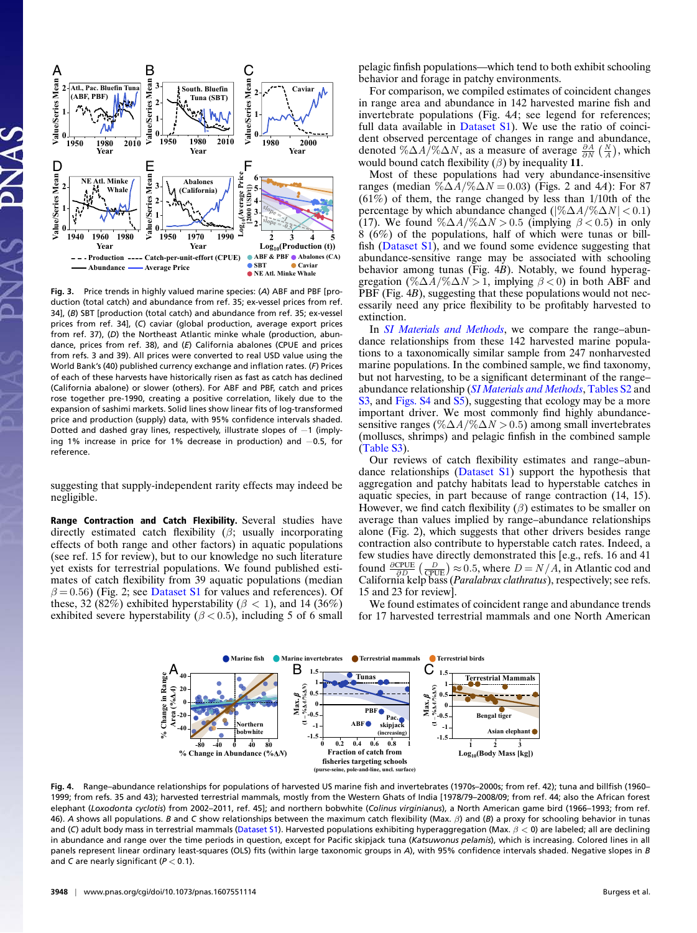

**Fig. 3.** Price trends in highly valued marine species: (*A*) ABF and PBF [production (total catch) and abundance from ref. 35; ex-vessel prices from ref. 34], (*B*) SBT [production (total catch) and abundance from ref. 35; ex-vessel prices from ref. 34], (*C*) caviar (global production, average export prices from ref. 37), (*D*) the Northeast Atlantic minke whale (production, abundance, prices from ref. 38), and (*E*) California abalones (CPUE and prices from refs. 3 and 39). All prices were converted to real USD value using the World Bank's (40) published currency exchange and inflation rates. (*F*) Prices of each of these harvests have historically risen as fast as catch has declined (California abalone) or slower (others). For ABF and PBF, catch and prices rose together pre-1990, creating a positive correlation, likely due to the expansion of sashimi markets. Solid lines show linear fits of log-transformed price and production (supply) data, with 95% confidence intervals shaded. Dotted and dashed gray lines, respectively, illustrate slopes of -1 (implying 1% increase in price for 1% decrease in production) and −0.5, for reference.

suggesting that supply-independent rarity effects may indeed be negligible.

Range Contraction and Catch Flexibility. Several studies have directly estimated catch flexibility  $(\beta;$  usually incorporating effects of both range and other factors) in aquatic populations (see ref. 15 for review), but to our knowledge no such literature yet exists for terrestrial populations. We found published estimates of catch flexibility from 39 aquatic populations (median  $\beta = 0.56$ ) (Fig. 2; see [Dataset S1](http://www.pnas.org/lookup/suppl/doi:10.1073/pnas.1607551114/-/DCSupplemental/pnas.1607551114.sd01.xlsx) for values and references). Of these, 32 (82%) exhibited hyperstability ( $\beta$  < 1), and 14 (36%) exhibited severe hyperstability ( $\beta$  < 0.5), including 5 of 6 small

pelagic finfish populations—which tend to both exhibit schooling behavior and forage in patchy environments.

For comparison, we compiled estimates of coincident changes in range area and abundance in 142 harvested marine fish and invertebrate populations (Fig. 4*A*; see legend for references; full data available in [Dataset S1\)](http://www.pnas.org/lookup/suppl/doi:10.1073/pnas.1607551114/-/DCSupplemental/pnas.1607551114.sd01.xlsx). We use the ratio of coincident observed percentage of changes in range and abundance, denoted % $\Delta A/\% \Delta N$ , as a measure of average  $\frac{\partial A}{\partial N}(\frac{N}{A})$ , which would bound catch flexibility  $(\beta)$  by inequality **11**.

Most of these populations had very abundance-insensitive ranges (median % $\Delta A/\%\Delta N = 0.03$ ) (Figs. 2 and 4*A*): For 87 (61%) of them, the range changed by less than 1/10th of the percentage by which abundance changed ( $|\% \Delta A/\% \Delta N|$  < 0.1) (17). We found  $\frac{\partial \Delta A}{\partial \Delta N} > 0.5$  (implying  $\beta < 0.5$ ) in only 8 (6%) of the populations, half of which were tunas or billfish [\(Dataset S1\)](http://www.pnas.org/lookup/suppl/doi:10.1073/pnas.1607551114/-/DCSupplemental/pnas.1607551114.sd01.xlsx), and we found some evidence suggesting that abundance-sensitive range may be associated with schooling behavior among tunas (Fig. 4*B*). Notably, we found hyperaggregation (% $\Delta A/\% \Delta N > 1$ , implying  $\beta < 0$ ) in both ABF and PBF (Fig. 4*B*), suggesting that these populations would not necessarily need any price flexibility to be profitably harvested to extinction.

In *[SI Materials and Methods](http://www.pnas.org/lookup/suppl/doi:10.1073/pnas.1607551114/-/DCSupplemental/pnas.201607551SI.pdf?targetid=nameddest=STXT)*, we compare the range–abundance relationships from these 142 harvested marine populations to a taxonomically similar sample from 247 nonharvested marine populations. In the combined sample, we find taxonomy, but not harvesting, to be a significant determinant of the range– abundance relationship (*[SI Materials and Methods](http://www.pnas.org/lookup/suppl/doi:10.1073/pnas.1607551114/-/DCSupplemental/pnas.201607551SI.pdf?targetid=nameddest=STXT)*, [Tables S2](http://www.pnas.org/lookup/suppl/doi:10.1073/pnas.1607551114/-/DCSupplemental/pnas.201607551SI.pdf?targetid=nameddest=ST2) and [S3,](http://www.pnas.org/lookup/suppl/doi:10.1073/pnas.1607551114/-/DCSupplemental/pnas.201607551SI.pdf?targetid=nameddest=ST3) and [Figs. S4](http://www.pnas.org/lookup/suppl/doi:10.1073/pnas.1607551114/-/DCSupplemental/pnas.201607551SI.pdf?targetid=nameddest=SF4) and [S5\)](http://www.pnas.org/lookup/suppl/doi:10.1073/pnas.1607551114/-/DCSupplemental/pnas.201607551SI.pdf?targetid=nameddest=SF5), suggesting that ecology may be a more important driver. We most commonly find highly abundancesensitive ranges (% $\Delta A/\% \Delta N > 0.5$ ) among small invertebrates (molluscs, shrimps) and pelagic finfish in the combined sample [\(Table S3\)](http://www.pnas.org/lookup/suppl/doi:10.1073/pnas.1607551114/-/DCSupplemental/pnas.201607551SI.pdf?targetid=nameddest=ST3).

Our reviews of catch flexibility estimates and range–abundance relationships [\(Dataset S1\)](http://www.pnas.org/lookup/suppl/doi:10.1073/pnas.1607551114/-/DCSupplemental/pnas.1607551114.sd01.xlsx) support the hypothesis that aggregation and patchy habitats lead to hyperstable catches in aquatic species, in part because of range contraction (14, 15). However, we find catch flexibility  $(\beta)$  estimates to be smaller on average than values implied by range–abundance relationships alone (Fig. 2), which suggests that other drivers besides range contraction also contribute to hyperstable catch rates. Indeed, a few studies have directly demonstrated this [e.g., refs. 16 and 41 found  $\frac{\partial$ CPUE  $\left(\frac{D}{\text{CPLE}}\right) \approx 0.5$ , where  $D = N/A$ , in Atlantic cod and California kelp bass (*Paralabrax clathratus*), respectively; see refs. 15 and 23 for review].

We found estimates of coincident range and abundance trends for 17 harvested terrestrial mammals and one North American



**Fig. 4.** Range–abundance relationships for populations of harvested US marine fish and invertebrates (1970s–2000s; from ref. 42); tuna and billfish (1960– 1999; from refs. 35 and 43); harvested terrestrial mammals, mostly from the Western Ghats of India [1978/79–2008/09; from ref. 44; also the African forest elephant (*Loxodonta cyclotis*) from 2002–2011, ref. 45]; and northern bobwhite (*Colinus virginianus*), a North American game bird (1966–1993; from ref. 46). *A* shows all populations. *B* and *C* show relationships between the maximum catch flexibility (Max. β) and (*B*) a proxy for schooling behavior in tunas and (C) adult body mass in terrestrial mammals [\(Dataset S1\)](http://www.pnas.org/lookup/suppl/doi:10.1073/pnas.1607551114/-/DCSupplemental/pnas.1607551114.sd01.xlsx). Harvested populations exhibiting hyperaggregation (Max. β < 0) are labeled; all are declining in abundance and range over the time periods in question, except for Pacific skipjack tuna (*Katsuwonus pelamis*), which is increasing. Colored lines in all panels represent linear ordinary least-squares (OLS) fits (within large taxonomic groups in *A*), with 95% confidence intervals shaded. Negative slopes in *B* and *C* are nearly significant (*P* < 0.1).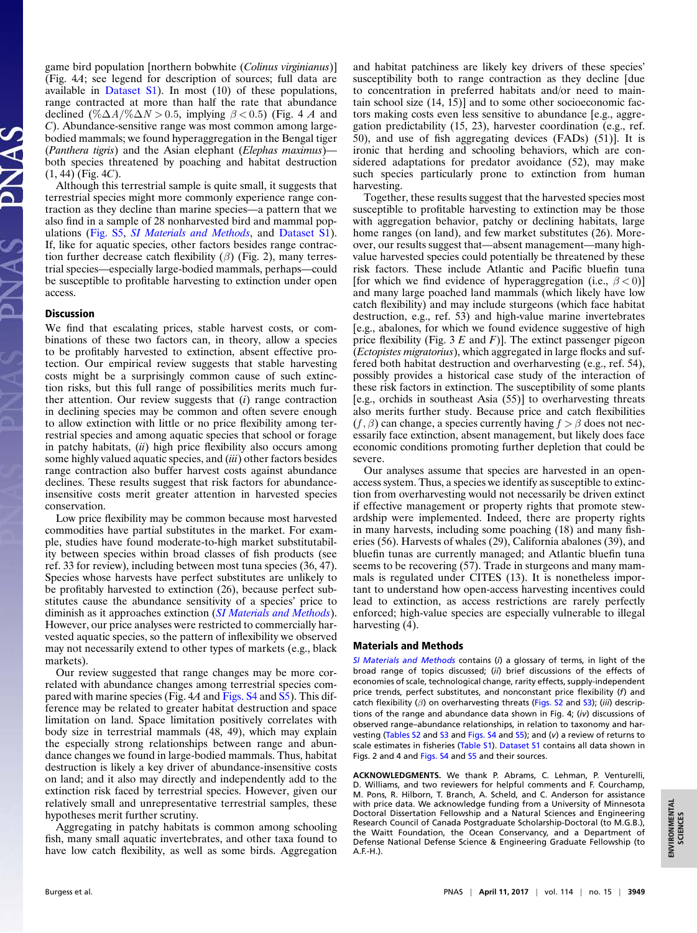game bird population [northern bobwhite (*Colinus virginianus*)] (Fig. 4*A*; see legend for description of sources; full data are available in [Dataset S1\)](http://www.pnas.org/lookup/suppl/doi:10.1073/pnas.1607551114/-/DCSupplemental/pnas.1607551114.sd01.xlsx). In most (10) of these populations, range contracted at more than half the rate that abundance declined  $(\%\Delta A/\%\Delta N > 0.5$ , implying  $\beta < 0.5$ ) (Fig. 4 *A* and *C*). Abundance-sensitive range was most common among largebodied mammals; we found hyperaggregation in the Bengal tiger (*Panthera tigris*) and the Asian elephant (*Elephas maximus*) both species threatened by poaching and habitat destruction (1, 44) (Fig. 4*C*).

Although this terrestrial sample is quite small, it suggests that terrestrial species might more commonly experience range contraction as they decline than marine species—a pattern that we also find in a sample of 28 nonharvested bird and mammal populations [\(Fig. S5,](http://www.pnas.org/lookup/suppl/doi:10.1073/pnas.1607551114/-/DCSupplemental/pnas.201607551SI.pdf?targetid=nameddest=SF5) *[SI Materials and Methods](http://www.pnas.org/lookup/suppl/doi:10.1073/pnas.1607551114/-/DCSupplemental/pnas.201607551SI.pdf?targetid=nameddest=STXT)*, and [Dataset S1\)](http://www.pnas.org/lookup/suppl/doi:10.1073/pnas.1607551114/-/DCSupplemental/pnas.1607551114.sd01.xlsx). If, like for aquatic species, other factors besides range contraction further decrease catch flexibility  $(\beta)$  (Fig. 2), many terrestrial species—especially large-bodied mammals, perhaps—could be susceptible to profitable harvesting to extinction under open access.

## **Discussion**

We find that escalating prices, stable harvest costs, or combinations of these two factors can, in theory, allow a species to be profitably harvested to extinction, absent effective protection. Our empirical review suggests that stable harvesting costs might be a surprisingly common cause of such extinction risks, but this full range of possibilities merits much further attention. Our review suggests that (*i*) range contraction in declining species may be common and often severe enough to allow extinction with little or no price flexibility among terrestrial species and among aquatic species that school or forage in patchy habitats, (*ii*) high price flexibility also occurs among some highly valued aquatic species, and (*iii*) other factors besides range contraction also buffer harvest costs against abundance declines. These results suggest that risk factors for abundanceinsensitive costs merit greater attention in harvested species conservation.

Low price flexibility may be common because most harvested commodities have partial substitutes in the market. For example, studies have found moderate-to-high market substitutability between species within broad classes of fish products (see ref. 33 for review), including between most tuna species (36, 47). Species whose harvests have perfect substitutes are unlikely to be profitably harvested to extinction (26), because perfect substitutes cause the abundance sensitivity of a species' price to diminish as it approaches extinction (*[SI Materials and Methods](http://www.pnas.org/lookup/suppl/doi:10.1073/pnas.1607551114/-/DCSupplemental/pnas.201607551SI.pdf?targetid=nameddest=STXT)*). However, our price analyses were restricted to commercially harvested aquatic species, so the pattern of inflexibility we observed may not necessarily extend to other types of markets (e.g., black markets).

Our review suggested that range changes may be more correlated with abundance changes among terrestrial species compared with marine species (Fig. 4*A* and [Figs. S4](http://www.pnas.org/lookup/suppl/doi:10.1073/pnas.1607551114/-/DCSupplemental/pnas.201607551SI.pdf?targetid=nameddest=SF4) and [S5\)](http://www.pnas.org/lookup/suppl/doi:10.1073/pnas.1607551114/-/DCSupplemental/pnas.201607551SI.pdf?targetid=nameddest=SF5). This difference may be related to greater habitat destruction and space limitation on land. Space limitation positively correlates with body size in terrestrial mammals (48, 49), which may explain the especially strong relationships between range and abundance changes we found in large-bodied mammals. Thus, habitat destruction is likely a key driver of abundance-insensitive costs on land; and it also may directly and independently add to the extinction risk faced by terrestrial species. However, given our relatively small and unrepresentative terrestrial samples, these hypotheses merit further scrutiny.

Aggregating in patchy habitats is common among schooling fish, many small aquatic invertebrates, and other taxa found to have low catch flexibility, as well as some birds. Aggregation

and habitat patchiness are likely key drivers of these species' susceptibility both to range contraction as they decline [due to concentration in preferred habitats and/or need to maintain school size (14, 15)] and to some other socioeconomic factors making costs even less sensitive to abundance [e.g., aggregation predictability (15, 23), harvester coordination (e.g., ref. 50), and use of fish aggregating devices (FADs) (51)]. It is ironic that herding and schooling behaviors, which are considered adaptations for predator avoidance (52), may make such species particularly prone to extinction from human harvesting.

Together, these results suggest that the harvested species most susceptible to profitable harvesting to extinction may be those with aggregation behavior, patchy or declining habitats, large home ranges (on land), and few market substitutes (26). Moreover, our results suggest that—absent management—many highvalue harvested species could potentially be threatened by these risk factors. These include Atlantic and Pacific bluefin tuna [for which we find evidence of hyperaggregation (i.e.,  $\beta < 0$ )] and many large poached land mammals (which likely have low catch flexibility) and may include sturgeons (which face habitat destruction, e.g., ref. 53) and high-value marine invertebrates [e.g., abalones, for which we found evidence suggestive of high price flexibility (Fig. 3 *E* and *F*)]. The extinct passenger pigeon (*Ectopistes migratorius*), which aggregated in large flocks and suffered both habitat destruction and overharvesting (e.g., ref. 54), possibly provides a historical case study of the interaction of these risk factors in extinction. The susceptibility of some plants [e.g., orchids in southeast Asia (55)] to overharvesting threats also merits further study. Because price and catch flexibilities  $(f, \beta)$  can change, a species currently having  $f > \beta$  does not necessarily face extinction, absent management, but likely does face economic conditions promoting further depletion that could be severe.

Our analyses assume that species are harvested in an openaccess system. Thus, a species we identify as susceptible to extinction from overharvesting would not necessarily be driven extinct if effective management or property rights that promote stewardship were implemented. Indeed, there are property rights in many harvests, including some poaching (18) and many fisheries (56). Harvests of whales (29), California abalones (39), and bluefin tunas are currently managed; and Atlantic bluefin tuna seems to be recovering (57). Trade in sturgeons and many mammals is regulated under CITES (13). It is nonetheless important to understand how open-access harvesting incentives could lead to extinction, as access restrictions are rarely perfectly enforced; high-value species are especially vulnerable to illegal harvesting (4).

#### Materials and Methods

*[SI Materials and Methods](http://www.pnas.org/lookup/suppl/doi:10.1073/pnas.1607551114/-/DCSupplemental/pnas.201607551SI.pdf?targetid=nameddest=STXT)* contains (*i*) a glossary of terms, in light of the broad range of topics discussed; (*ii*) brief discussions of the effects of economies of scale, technological change, rarity effects, supply-independent price trends, perfect substitutes, and nonconstant price flexibility (*f*) and catch flexibility (β) on overharvesting threats [\(Figs. S2](http://www.pnas.org/lookup/suppl/doi:10.1073/pnas.1607551114/-/DCSupplemental/pnas.201607551SI.pdf?targetid=nameddest=SF2) and [S3\)](http://www.pnas.org/lookup/suppl/doi:10.1073/pnas.1607551114/-/DCSupplemental/pnas.201607551SI.pdf?targetid=nameddest=SF3); (*iii*) descriptions of the range and abundance data shown in Fig. 4; (*iv*) discussions of observed range–abundance relationships, in relation to taxonomy and harvesting [\(Tables S2](http://www.pnas.org/lookup/suppl/doi:10.1073/pnas.1607551114/-/DCSupplemental/pnas.201607551SI.pdf?targetid=nameddest=ST2) and [S3](http://www.pnas.org/lookup/suppl/doi:10.1073/pnas.1607551114/-/DCSupplemental/pnas.201607551SI.pdf?targetid=nameddest=ST3) and [Figs. S4](http://www.pnas.org/lookup/suppl/doi:10.1073/pnas.1607551114/-/DCSupplemental/pnas.201607551SI.pdf?targetid=nameddest=SF4) and [S5\)](http://www.pnas.org/lookup/suppl/doi:10.1073/pnas.1607551114/-/DCSupplemental/pnas.201607551SI.pdf?targetid=nameddest=SF5); and (*v*) a review of returns to scale estimates in fisheries [\(Table S1\)](http://www.pnas.org/lookup/suppl/doi:10.1073/pnas.1607551114/-/DCSupplemental/pnas.201607551SI.pdf?targetid=nameddest=ST1). [Dataset S1](http://www.pnas.org/lookup/suppl/doi:10.1073/pnas.1607551114/-/DCSupplemental/pnas.1607551114.sd01.xlsx) contains all data shown in Figs. 2 and 4 and [Figs. S4](http://www.pnas.org/lookup/suppl/doi:10.1073/pnas.1607551114/-/DCSupplemental/pnas.201607551SI.pdf?targetid=nameddest=SF4) and [S5](http://www.pnas.org/lookup/suppl/doi:10.1073/pnas.1607551114/-/DCSupplemental/pnas.201607551SI.pdf?targetid=nameddest=SF5) and their sources.

**ACKNOWLEDGMENTS.** We thank P. Abrams, C. Lehman, P. Venturelli, D. Williams, and two reviewers for helpful comments and F. Courchamp, M. Pons, R. Hilborn, T. Branch, A. Scheld, and C. Anderson for assistance with price data. We acknowledge funding from a University of Minnesota Doctoral Dissertation Fellowship and a Natural Sciences and Engineering Research Council of Canada Postgraduate Scholarship-Doctoral (to M.G.B.), the Waitt Foundation, the Ocean Conservancy, and a Department of Defense National Defense Science & Engineering Graduate Fellowship (to A.F.-H.).